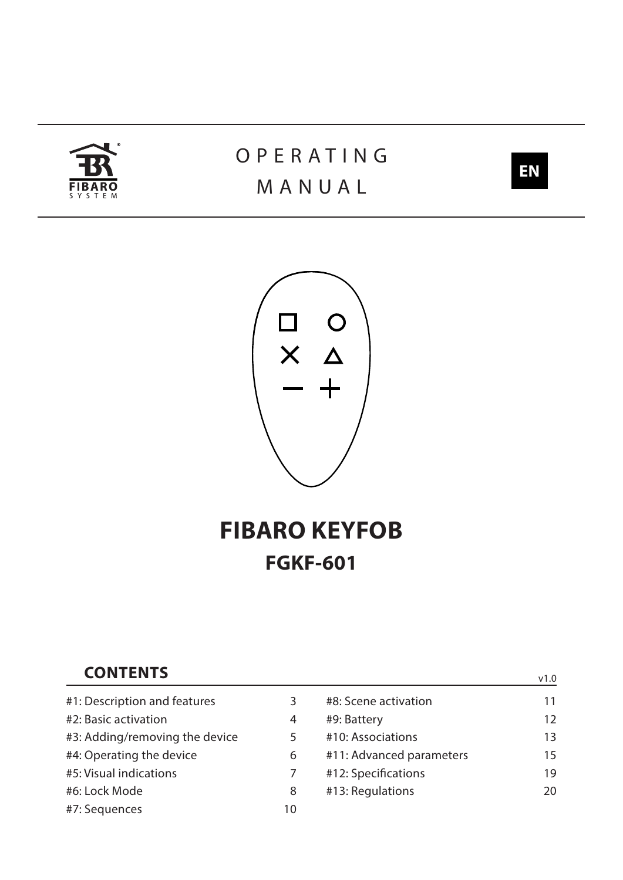

# **OPERATING** MANUAL



v1.0



# **FIBARO KEYFOB FGKF-601**

## **CONTENTS**

| #1: Description and features   | 3  | #8: Scene activation     | 11 |
|--------------------------------|----|--------------------------|----|
| #2: Basic activation           | 4  | #9: Battery              | 12 |
| #3: Adding/removing the device | 5  | #10: Associations        | 13 |
| #4: Operating the device       | 6  | #11: Advanced parameters | 15 |
| #5: Visual indications         |    | #12: Specifications      | 19 |
| #6: Lock Mode                  | 8  | #13: Regulations         | 20 |
| #7: Sequences                  | 10 |                          |    |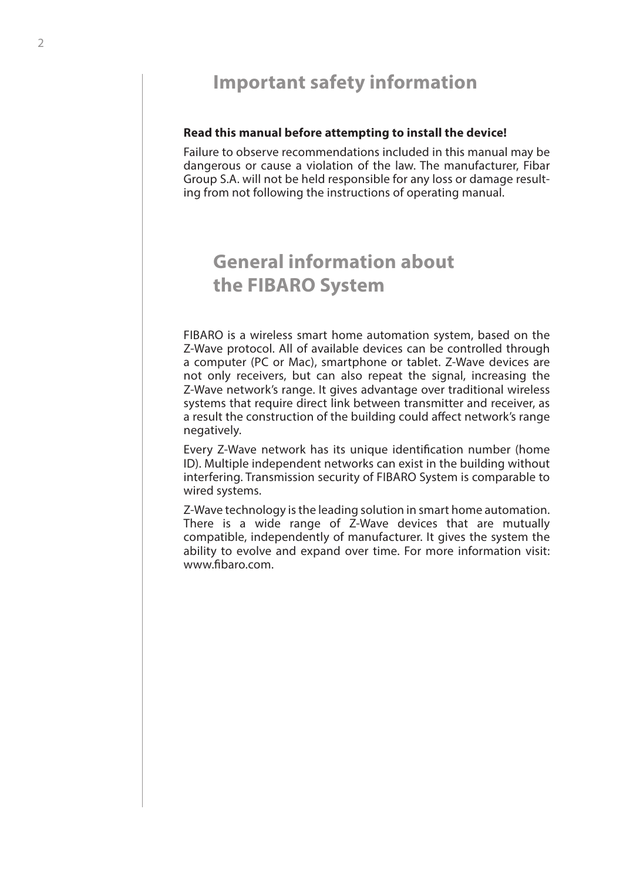## **Important safety information**

### **Read this manual before attempting to install the device!**

Failure to observe recommendations included in this manual may be dangerous or cause a violation of the law. The manufacturer, Fibar Group S.A. will not be held responsible for any loss or damage resulting from not following the instructions of operating manual.

## **General information about the FIBARO System**

FIBARO is a wireless smart home automation system, based on the Z-Wave protocol. All of available devices can be controlled through a computer (PC or Mac), smartphone or tablet. Z-Wave devices are not only receivers, but can also repeat the signal, increasing the Z-Wave network's range. It gives advantage over traditional wireless systems that require direct link between transmitter and receiver, as a result the construction of the building could afect network's range negatively.

Every Z-Wave network has its unique identifcation number (home ID). Multiple independent networks can exist in the building without interfering. Transmission security of FIBARO System is comparable to wired systems.

Z-Wave technology is the leading solution in smart home automation. There is a wide range of Z-Wave devices that are mutually compatible, independently of manufacturer. It gives the system the ability to evolve and expand over time. For more information visit: www.fbaro.com.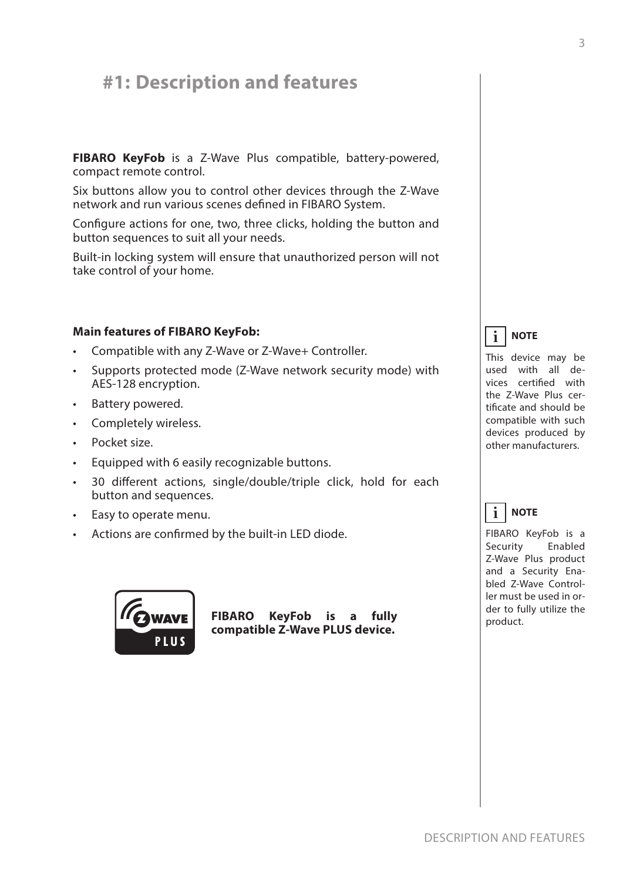## **#1: Description and features**

**FIBARO KeyFob** is a Z-Wave Plus compatible, battery-powered, compact remote control.

Six buttons allow you to control other devices through the Z-Wave network and run various scenes defned in FIBARO System.

Confgure actions for one, two, three clicks, holding the button and button sequences to suit all your needs.

Built-in locking system will ensure that unauthorized person will not take control of your home.

## **Main features of FIBARO KeyFob:**

- Compatible with any Z-Wave or Z-Wave+ Controller.
- Supports protected mode (Z-Wave network security mode) with AES-128 encryption.
- Battery powered.
- Completely wireless.
- Pocket size.
- Equipped with 6 easily recognizable buttons.
- 30 diferent actions, single/double/triple click, hold for each button and sequences.
- Easy to operate menu.
- Actions are confrmed by the built-in LED diode.



**FIBARO KeyFob is a fully compatible Z-Wave PLUS device.**



This device may be used with all devices certifed with the Z-Wave Plus certifcate and should be compatible with such devices produced by other manufacturers.

#### **NOTE i**

FIBARO KeyFob is a Security Enabled Z-Wave Plus product and a Security Enabled Z-Wave Controller must be used in order to fully utilize the product.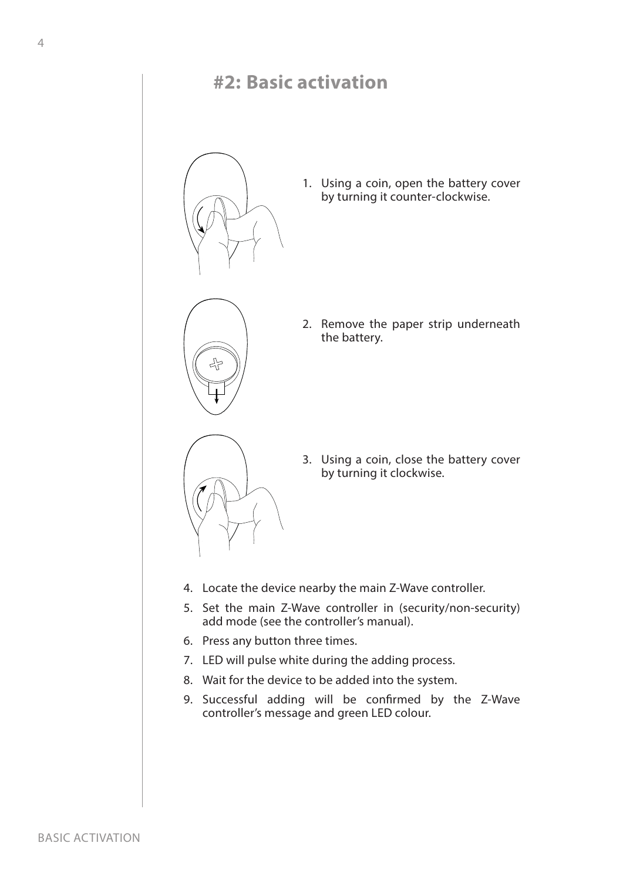## **#2: Basic activation**



1. Using a coin, open the battery cover by turning it counter-clockwise.



2. Remove the paper strip underneath the battery.



3. Using a coin, close the battery cover by turning it clockwise.

- 4. Locate the device nearby the main Z-Wave controller.
- 5. Set the main Z-Wave controller in (security/non-security) add mode (see the controller's manual).
- 6. Press any button three times.
- 7. LED will pulse white during the adding process.
- 8. Wait for the device to be added into the system.
- 9. Successful adding will be confrmed by the Z-Wave controller's message and green LED colour.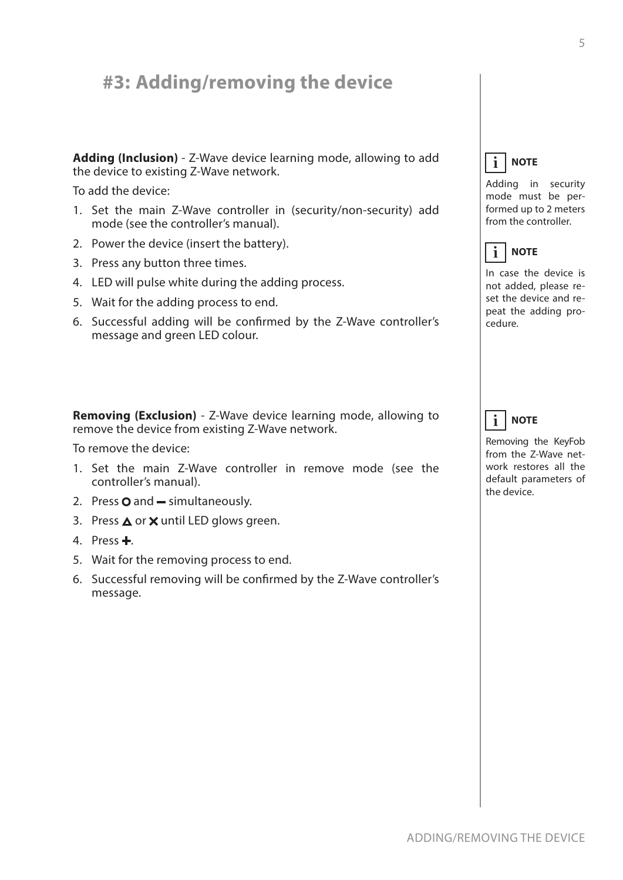## **#3: Adding/removing the device**

**Adding (Inclusion)** - Z-Wave device learning mode, allowing to add the device to existing Z-Wave network.

To add the device:

- 1. Set the main Z-Wave controller in (security/non-security) add mode (see the controller's manual).
- 2. Power the device (insert the battery).
- 3. Press any button three times.
- 4. LED will pulse white during the adding process.
- 5. Wait for the adding process to end.
- 6. Successful adding will be confrmed by the Z-Wave controller's message and green LED colour.

**Removing (Exclusion)** - Z-Wave device learning mode, allowing to remove the device from existing Z-Wave network.

To remove the device:

- 1. Set the main Z-Wave controller in remove mode (see the controller's manual).
- 2. Press  $\mathbf O$  and  $\mathbf -$  simultaneously.
- 3. Press  $\triangle$  or  $\times$  until LED glows green.
- 4. Press $\pm$ .
- 5. Wait for the removing process to end.
- 6. Successful removing will be confrmed by the Z-Wave controller's message.

#### **NOTE i**

Adding in security mode must be performed up to 2 meters from the controller.



In case the device is not added, please reset the device and repeat the adding procedure.

#### **NOTE i**

Removing the KeyFob from the Z-Wave network restores all the default parameters of the device.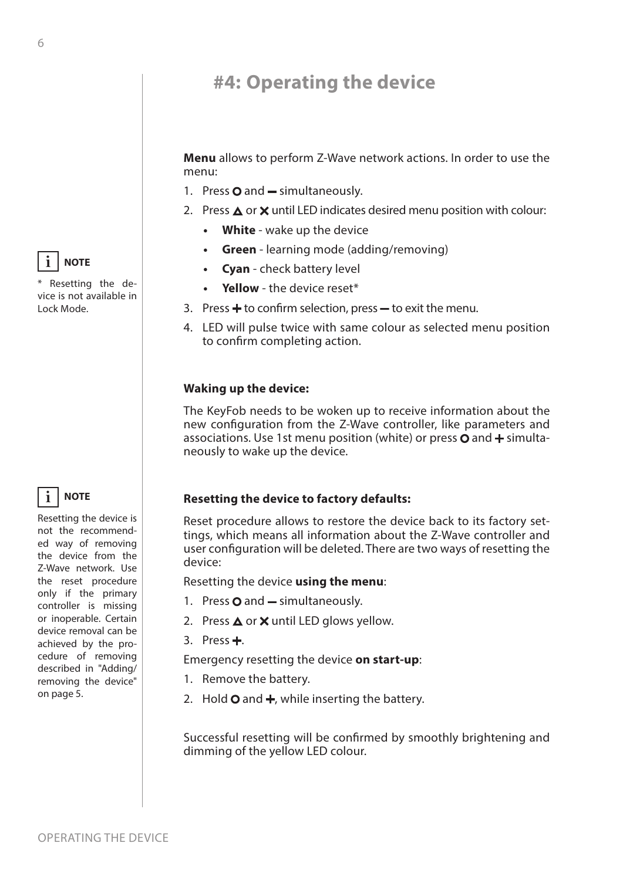## **#4: Operating the device**

**Menu** allows to perform Z-Wave network actions. In order to use the menu:

- 1. Press  $\mathbf O$  and  $\mathbf -$  simultaneously.
- 2. Press  $\triangle$  or  $\times$  until LED indicates desired menu position with colour:
	- **• White** wake up the device
	- **• Green** learning mode (adding/removing)
	- **• Cyan** check battery level
	- **• Yellow** the device reset\*
- 3. Press  $\div$  to confirm selection, press  $-$  to exit the menu.
- 4. LED will pulse twice with same colour as selected menu position to confrm completing action.

### **Waking up the device:**

The KeyFob needs to be woken up to receive information about the new confguration from the Z-Wave controller, like parameters and associations. Use 1st menu position (white) or press  $\Omega$  and  $\pm$  simultaneously to wake up the device.

## **Resetting the device to factory defaults:**

Reset procedure allows to restore the device back to its factory settings, which means all information about the Z-Wave controller and user confguration will be deleted. There are two ways of resetting the device:

Resetting the device **using the menu**:

- 1. Press  $\mathbf O$  and  $\mathbf -$  simultaneously.
- 2. Press  $\triangle$  or  $\times$  until LED glows yellow.
- 3. Press $\pm$ .

Emergency resetting the device **on start-up**:

- 1. Remove the battery.
- 2. Hold  $\bigcirc$  and  $\biguparrow$ , while inserting the battery.

Successful resetting will be confrmed by smoothly brightening and dimming of the yellow LED colour.



\* Resetting the device is not available in Lock Mode.

#### **NOTE i**

Resetting the device is not the recommended way of removing the device from the Z-Wave network. Use the reset procedure only if the primary controller is missing or inoperable. Certain device removal can be achieved by the procedure of removing described in "Adding/ removing the device" on page 5.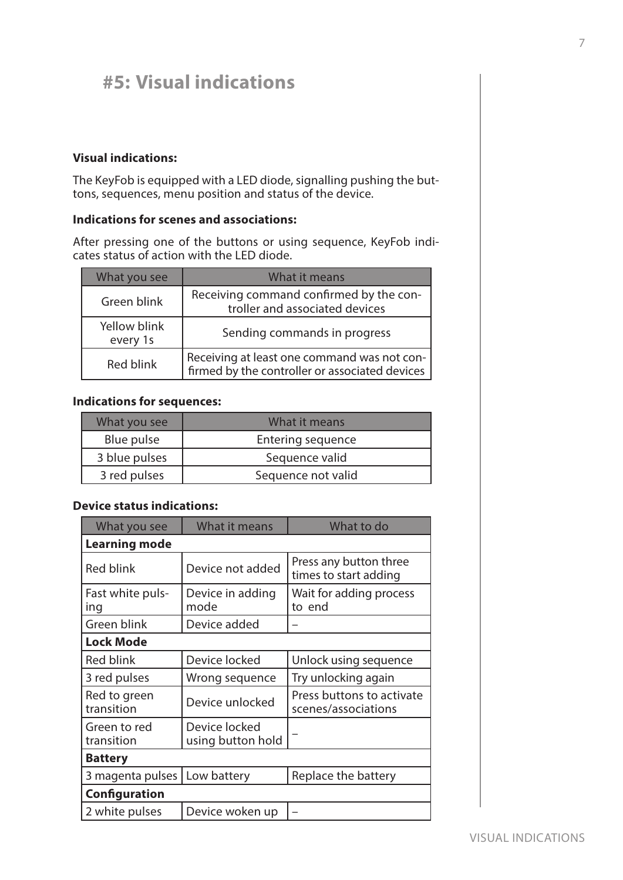## **#5: Visual indications**

## **Visual indications:**

The KeyFob is equipped with a LED diode, signalling pushing the buttons, sequences, menu position and status of the device.

## **Indications for scenes and associations:**

After pressing one of the buttons or using sequence, KeyFob indicates status of action with the LED diode.

| What you see             | What it means                                                                                 |
|--------------------------|-----------------------------------------------------------------------------------------------|
| Green blink              | Receiving command confirmed by the con-<br>troller and associated devices                     |
| Yellow blink<br>every 1s | Sending commands in progress                                                                  |
| <b>Red blink</b>         | Receiving at least one command was not con-<br>firmed by the controller or associated devices |

## **Indications for sequences:**

| What you see  | What it means            |
|---------------|--------------------------|
| Blue pulse    | <b>Entering sequence</b> |
| 3 blue pulses | Sequence valid           |
| 3 red pulses  | Sequence not valid       |

## **Device status indications:**

| What you see               | What it means                      | What to do                                       |
|----------------------------|------------------------------------|--------------------------------------------------|
| <b>Learning mode</b>       |                                    |                                                  |
| <b>Red blink</b>           | Device not added                   | Press any button three<br>times to start adding  |
| Fast white puls-<br>ing    | Device in adding<br>mode           | Wait for adding process<br>to end                |
| Green blink                | Device added                       |                                                  |
| <b>Lock Mode</b>           |                                    |                                                  |
| <b>Red blink</b>           | Device locked                      | Unlock using sequence                            |
| 3 red pulses               | Wrong sequence                     | Try unlocking again                              |
| Red to green<br>transition | Device unlocked                    | Press buttons to activate<br>scenes/associations |
| Green to red<br>transition | Device locked<br>using button hold |                                                  |
| <b>Battery</b>             |                                    |                                                  |
| 3 magenta pulses           | Low battery                        | Replace the battery                              |
| <b>Configuration</b>       |                                    |                                                  |
| 2 white pulses             | Device woken up                    |                                                  |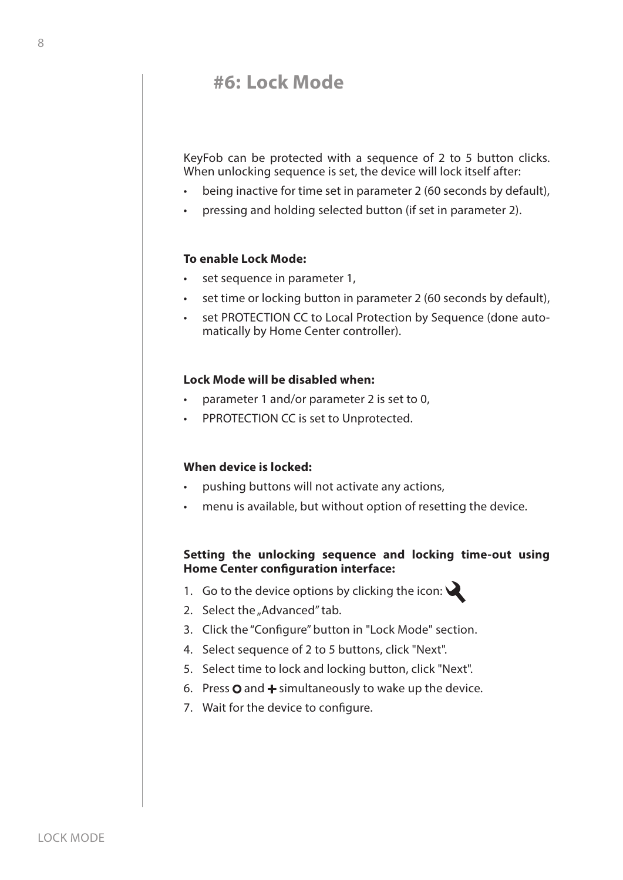## **#6: Lock Mode**

KeyFob can be protected with a sequence of 2 to 5 button clicks. When unlocking sequence is set, the device will lock itself after:

- being inactive for time set in parameter 2 (60 seconds by default),
- pressing and holding selected button (if set in parameter 2).

## **To enable Lock Mode:**

- set sequence in parameter 1,
- set time or locking button in parameter 2 (60 seconds by default),
- set PROTECTION CC to Local Protection by Sequence (done automatically by Home Center controller).

### **Lock Mode will be disabled when:**

- parameter 1 and/or parameter 2 is set to 0,
- PPROTECTION CC is set to Unprotected.

### **When device is locked:**

- pushing buttons will not activate any actions,
- menu is available, but without option of resetting the device.

## **Setting the unlocking sequence and locking time-out using Home Center confguration interface:**

- 1. Go to the device options by clicking the icon:  $\mathbf{\mathbf{\&}}$
- 2. Select the "Advanced" tab.
- 3. Click the "Confgure" button in "Lock Mode" section.
- 4. Select sequence of 2 to 5 buttons, click "Next".
- 5. Select time to lock and locking button, click "Next".
- 6. Press  $\mathbf O$  and  $\mathbf +$  simultaneously to wake up the device.
- 7. Wait for the device to confgure.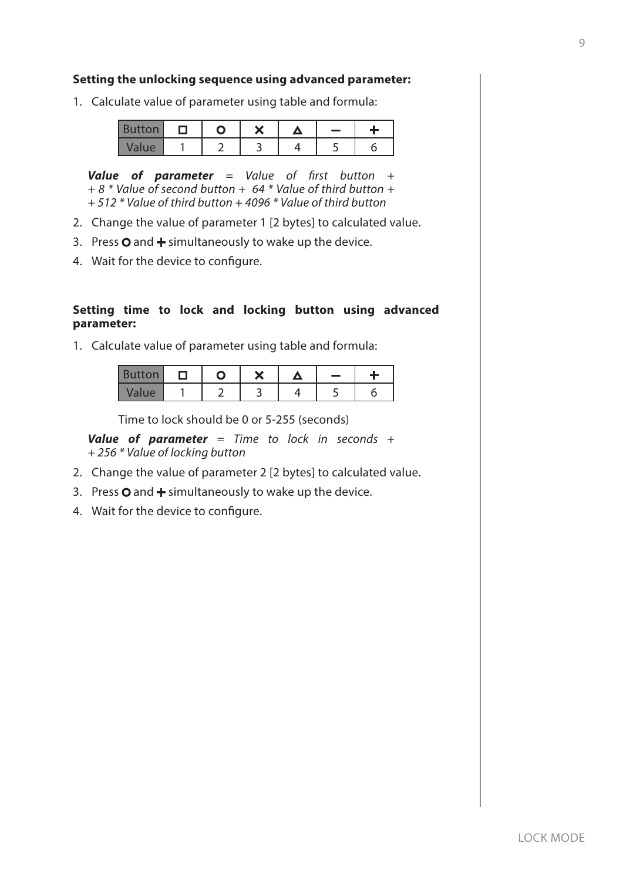### **Setting the unlocking sequence using advanced parameter:**

1. Calculate value of parameter using table and formula:

| <b>Button</b> |  | ∙ |  |  |
|---------------|--|---|--|--|
| Value         |  |   |  |  |

*Value of parameter = Value of* f*rst button + + 8 \* Value of second button + 64 \* Value of third button + + 512 \* Value of third button + 4096 \* Value of third button* 

- 2. Change the value of parameter 1 [2 bytes] to calculated value.
- 3. Press  $\mathbf O$  and  $\mathbf +$  simultaneously to wake up the device.
- 4. Wait for the device to confgure.

## **Setting time to lock and locking button using advanced parameter:**

1. Calculate value of parameter using table and formula:

| <b>Button</b> |  | ∾ | <b>The Second</b> |  |
|---------------|--|---|-------------------|--|
| Value         |  |   |                   |  |

Time to lock should be 0 or 5-255 (seconds)

*Value of parameter = Time to lock in seconds + + 256 \* Value of locking button* 

- 2. Change the value of parameter 2 [2 bytes] to calculated value.
- 3. Press  $\mathbf O$  and  $\mathbf +$  simultaneously to wake up the device.
- 4. Wait for the device to confgure.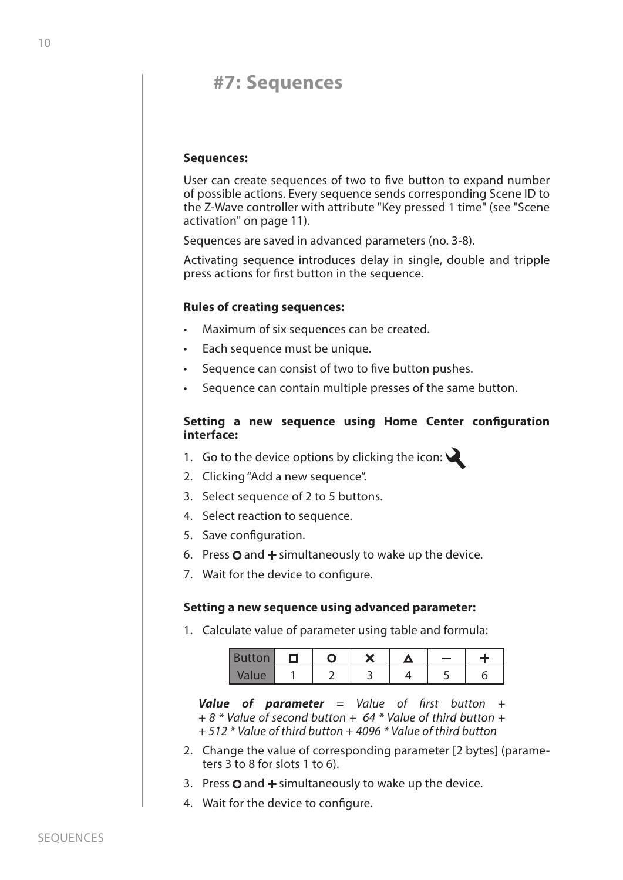## **#7: Sequences**

### **Sequences:**

User can create sequences of two to fve button to expand number of possible actions. Every sequence sends corresponding Scene ID to the Z-Wave controller with attribute "Key pressed 1 time" (see "Scene activation" on page 11).

Sequences are saved in advanced parameters (no. 3-8).

Activating sequence introduces delay in single, double and tripple press actions for frst button in the sequence.

### **Rules of creating sequences:**

- Maximum of six sequences can be created.
- Each sequence must be unique.
- Sequence can consist of two to five button pushes.
- Sequence can contain multiple presses of the same button.

### **Setting a new sequence using Home Center confguration interface:**

- 1. Go to the device options by clicking the icon:
- 2. Clicking "Add a new sequence".
- 3. Select sequence of 2 to 5 buttons.
- 4. Select reaction to sequence.
- 5. Save configuration.
- 6. Press  $\Omega$  and  $\div$  simultaneously to wake up the device.
- 7. Wait for the device to confgure.

#### **Setting a new sequence using advanced parameter:**

1. Calculate value of parameter using table and formula:

| <b>Button</b> |  | $\bullet$ | - |  |
|---------------|--|-----------|---|--|
| Value         |  |           |   |  |

*Value of parameter = Value of* f*rst button + + 8 \* Value of second button + 64 \* Value of third button + + 512 \* Value of third button + 4096 \* Value of third button* 

- 2. Change the value of corresponding parameter [2 bytes] (parameters 3 to 8 for slots 1 to 6).
- 3. Press  $\Omega$  and  $\div$  simultaneously to wake up the device.
- 4. Wait for the device to confgure.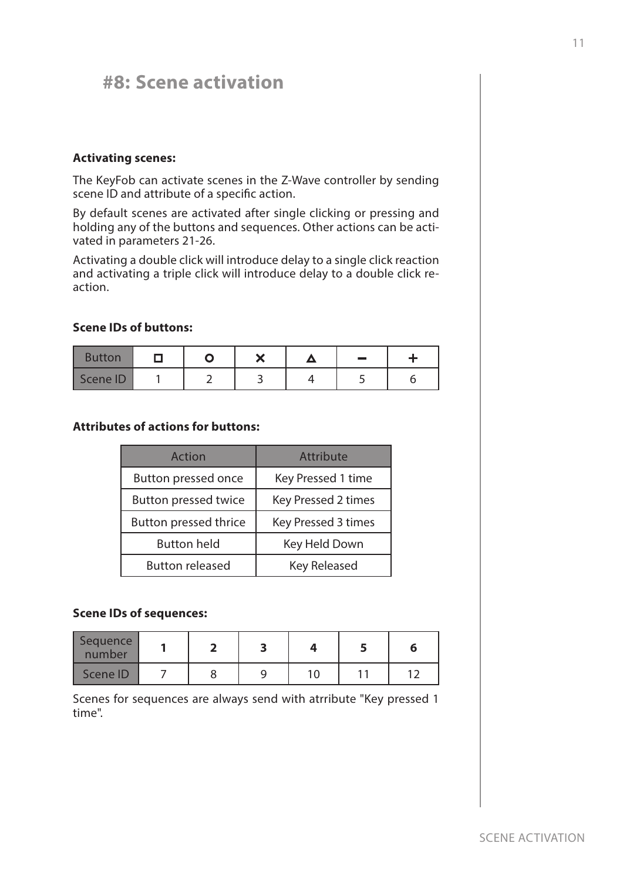## **#8: Scene activation**

### **Activating scenes:**

The KeyFob can activate scenes in the Z-Wave controller by sending scene ID and attribute of a specific action.

By default scenes are activated after single clicking or pressing and holding any of the buttons and sequences. Other actions can be activated in parameters 21-26.

Activating a double click will introduce delay to a single click reaction and activating a triple click will introduce delay to a double click reaction.

## **Scene IDs of buttons:**

| <b>Button</b> |  | $\bullet$ | $\sim$ |  |
|---------------|--|-----------|--------|--|
| Scene ID      |  |           |        |  |

## **Attributes of actions for buttons:**

| Action                      | Attribute           |
|-----------------------------|---------------------|
| Button pressed once         | Key Pressed 1 time  |
| <b>Button pressed twice</b> | Key Pressed 2 times |
| Button pressed thrice       | Key Pressed 3 times |
| <b>Button held</b>          | Key Held Down       |
| <b>Button released</b>      | <b>Key Released</b> |

### **Scene IDs of sequences:**

| Sequence<br>number |  |  |  |
|--------------------|--|--|--|
| Scene ID           |  |  |  |

Scenes for sequences are always send with atrribute "Key pressed 1 time".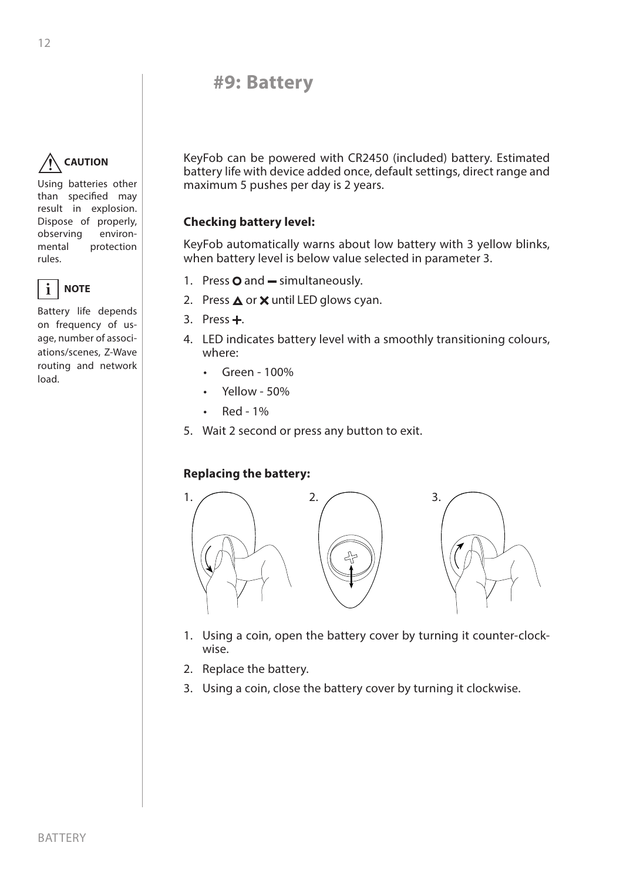## **#9: Battery**

#### **CAUTION !**

Using batteries other than specifed may result in explosion. Dispose of properly, observing environmental protection rules.



Battery life depends on frequency of usage, number of associations/scenes, Z-Wave routing and network load.

KeyFob can be powered with CR2450 (included) battery. Estimated battery life with device added once, default settings, direct range and maximum 5 pushes per day is 2 years.

## **Checking battery level:**

KeyFob automatically warns about low battery with 3 yellow blinks, when battery level is below value selected in parameter 3.

- 1. Press  $O$  and  $-$  simultaneously.
- 2. Press  $\triangle$  or  $\times$  until LED glows cyan.
- 3. Press $+$ .
- 4. LED indicates battery level with a smoothly transitioning colours, where:
	- Green 100%
	- Yellow 50%
	- $\cdot$  Red 1%
- 5. Wait 2 second or press any button to exit.

## **Replacing the battery:**



- 1. Using a coin, open the battery cover by turning it counter-clockwise.
- 2. Replace the battery.
- 3. Using a coin, close the battery cover by turning it clockwise.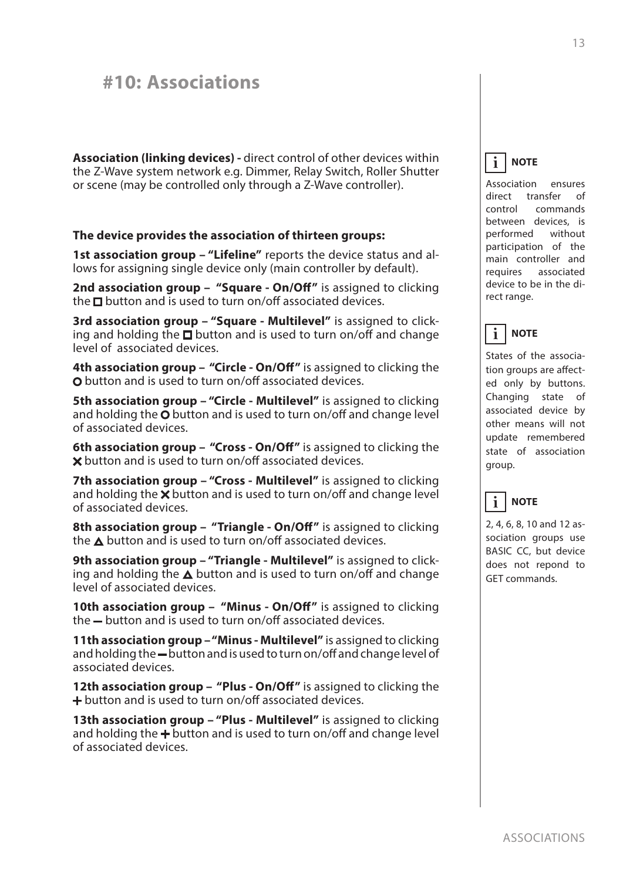## **#10: Associations**

**Association (linking devices) -** direct control of other devices within the Z-Wave system network e.g. Dimmer, Relay Switch, Roller Shutter or scene (may be controlled only through a Z-Wave controller).

### **The device provides the association of thirteen groups:**

**1st association group – "Lifeline"** reports the device status and allows for assigning single device only (main controller by default).

**2nd association group – "Square - On/Of"** is assigned to clicking the  $\square$  button and is used to turn on/off associated devices.

**3rd association group – "Square - Multilevel"** is assigned to clicking and holding the  $\Box$  button and is used to turn on/off and change level of associated devices.

**4th association group – "Circle - On/Of"** is assigned to clicking the O button and is used to turn on/off associated devices.

**5th association group - "Circle - Multilevel"** is assigned to clicking and holding the  $O$  button and is used to turn on/off and change level of associated devices.

**6th association group – "Cross - On/Of"** is assigned to clicking the  $\boldsymbol{\times}$  button and is used to turn on/off associated devices.

**7th association group - "Cross - Multilevel"** is assigned to clicking and holding the  $\times$  button and is used to turn on/off and change level of associated devices.

**8th association group – "Triangle - On/Of"** is assigned to clicking the  $\triangle$  button and is used to turn on/off associated devices.

**9th association group – "Triangle - Multilevel"** is assigned to clicking and holding the  $\Delta$  button and is used to turn on/off and change level of associated devices.

**10th association group – "Minus - On/Of"** is assigned to clicking the - button and is used to turn on/off associated devices.

**11th association group – "Minus - Multilevel"** is assigned to clicking and holding the - button and is used to turn on/off and change level of associated devices.

**12th association group – "Plus - On/Of"** is assigned to clicking the + button and is used to turn on/off associated devices.

**13th association group - "Plus - Multilevel"** is assigned to clicking and holding the  $\div$  button and is used to turn on/off and change level of associated devices.

**NOTE i**

Association ensures direct transfer of control commands between devices, is performed without participation of the main controller and requires associated device to be in the direct range.

#### **NOTE i**

States of the association groups are afected only by buttons. Changing state of associated device by other means will not update remembered state of association group.

#### **NOTE i**

2, 4, 6, 8, 10 and 12 association groups use BASIC CC, but device does not repond to GET commands.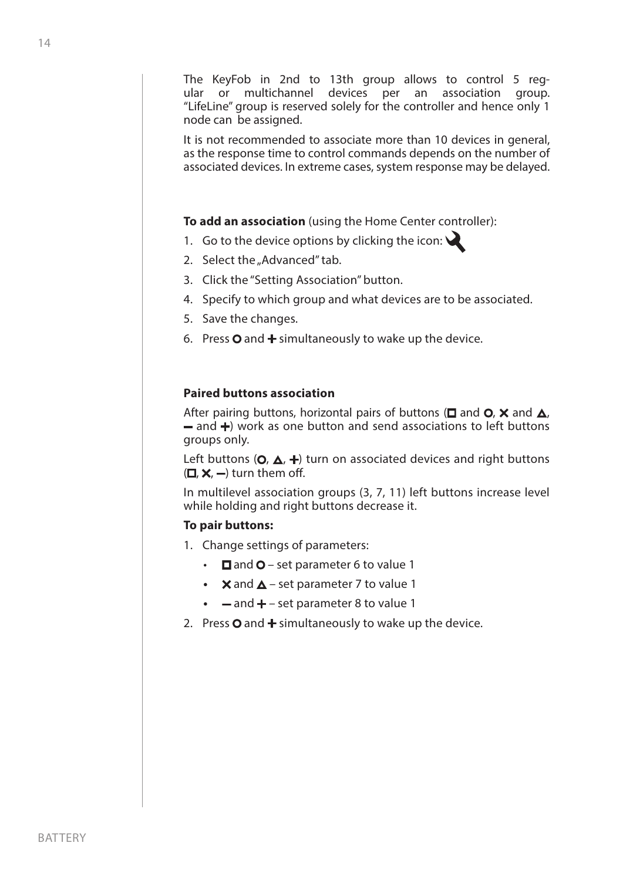The KeyFob in 2nd to 13th group allows to control 5 regular or multichannel devices per an association group. "LifeLine" group is reserved solely for the controller and hence only 1 node can be assigned.

It is not recommended to associate more than 10 devices in general, as the response time to control commands depends on the number of associated devices. In extreme cases, system response may be delayed.

**To add an association** (using the Home Center controller):

- 1. Go to the device options by clicking the icon:  $\mathcal{L}$
- 2. Select the "Advanced" tab.
- 3. Click the "Setting Association" button.
- 4. Specify to which group and what devices are to be associated.
- 5. Save the changes.
- 6. Press  $\Omega$  and  $+$  simultaneously to wake up the device.

## **Paired buttons association**

After pairing buttons, horizontal pairs of buttons ( $\square$  and  $\square$ , and  $\square$ ),  $-$  and  $+$ ) work as one button and send associations to left buttons groups only.

Left buttons ( $O, \Delta$ ,  $+$ ) turn on associated devices and right buttons  $( \Box, \times, - )$  turn them off.

In multilevel association groups (3, 7, 11) left buttons increase level while holding and right buttons decrease it.

## **To pair buttons:**

- 1. Change settings of parameters:
	- $\Box$  and  $\bigcirc$  set parameter 6 to value 1
	- $\mathsf{X}$  and  $\Delta$  set parameter 7 to value 1
	- $\bullet$   $\bullet$  and  $\bullet$  set parameter 8 to value 1
- 2. Press  $\mathbf O$  and  $\mathbf +$  simultaneously to wake up the device.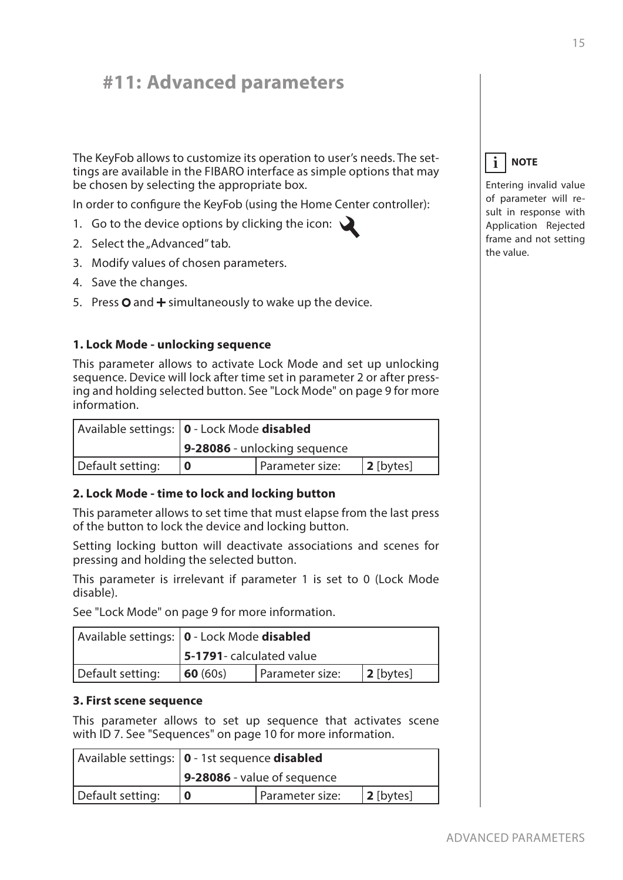## **#11: Advanced parameters**

The KeyFob allows to customize its operation to user's needs. The settings are available in the FIBARO interface as simple options that may be chosen by selecting the appropriate box.

In order to confgure the KeyFob (using the Home Center controller):

- 1. Go to the device options by clicking the icon:  $\sum$
- 2. Select the "Advanced" tab.
- 3. Modify values of chosen parameters.
- 4. Save the changes.
- 5. Press  $\mathbf O$  and  $\mathbf +$  simultaneously to wake up the device.

## **1. Lock Mode - unlocking sequence**

This parameter allows to activate Lock Mode and set up unlocking sequence. Device will lock after time set in parameter 2 or after pressing and holding selected button. See "Lock Mode" on page 9 for more information.

|                  | Available settings:   0 - Lock Mode disabled |  |  |  |  |
|------------------|----------------------------------------------|--|--|--|--|
|                  | 9-28086 - unlocking sequence                 |  |  |  |  |
| Default setting: | I Parameter size:<br>$ 2$ [bytes]            |  |  |  |  |

## **2. Lock Mode - time to lock and locking button**

This parameter allows to set time that must elapse from the last press of the button to lock the device and locking button.

Setting locking button will deactivate associations and scenes for pressing and holding the selected button.

This parameter is irrelevant if parameter 1 is set to 0 (Lock Mode disable).

See "Lock Mode" on page 9 for more information.

|                  | Available settings:   0 - Lock Mode disabled |  |  |  |
|------------------|----------------------------------------------|--|--|--|
|                  | 5-1791- calculated value                     |  |  |  |
| Default setting: | Parameter size:<br>$ 2$ [bytes]<br>60(60s)   |  |  |  |

## **3. First scene sequence**

This parameter allows to set up sequence that activates scene with ID 7. See "Sequences" on page 10 for more information.

|                  | Available settings:   0 - 1st sequence disabled |  |  |
|------------------|-------------------------------------------------|--|--|
|                  | $\vert$ 9-28086 - value of sequence             |  |  |
| Default setting: | Parameter size:<br>$2$ [bytes]                  |  |  |



Entering invalid value of parameter will result in response with Application Rejected frame and not setting the value.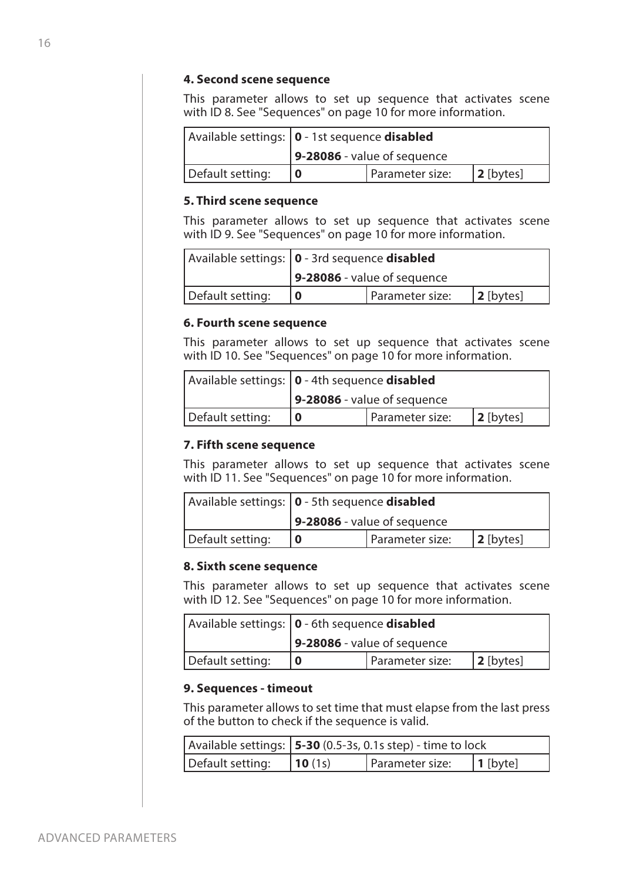## **4. Second scene sequence**

This parameter allows to set up sequence that activates scene with ID 8. See "Sequences" on page 10 for more information.

|                  | Available settings:   0 - 1st sequence disabled |  |  |  |
|------------------|-------------------------------------------------|--|--|--|
|                  | $\vert$ 9-28086 - value of sequence             |  |  |  |
| Default setting: | Parameter size:<br>$ 2$ [bytes]                 |  |  |  |

## **5. Third scene sequence**

This parameter allows to set up sequence that activates scene with ID 9. See "Sequences" on page 10 for more information.

|                  | Available settings:   0 - 3rd sequence <b>disabled</b> |  |  |  |
|------------------|--------------------------------------------------------|--|--|--|
|                  | $\sqrt{9-28086}$ - value of sequence                   |  |  |  |
| Default setting: | Parameter size:<br>$ 2$ [bytes]                        |  |  |  |

## **6. Fourth scene sequence**

This parameter allows to set up sequence that activates scene with ID 10. See "Sequences" on page 10 for more information.

|                  | Available settings:   0 - 4th sequence <b>disabled</b> |  |  |  |
|------------------|--------------------------------------------------------|--|--|--|
|                  | 9-28086 - value of sequence                            |  |  |  |
| Default setting: | Parameter size:<br>$ 2$ [bytes]                        |  |  |  |

## **7. Fifth scene sequence**

This parameter allows to set up sequence that activates scene with ID 11. See "Sequences" on page 10 for more information.

|                  | Available settings:   0 - 5th sequence disabled |  |  |  |
|------------------|-------------------------------------------------|--|--|--|
|                  | $\sqrt{9-28086}$ - value of sequence            |  |  |  |
| Default setting: | Parameter size:<br>$ 2$ [bytes]                 |  |  |  |

## **8. Sixth scene sequence**

This parameter allows to set up sequence that activates scene with ID 12. See "Sequences" on page 10 for more information.

|                  | Available settings:   0 - 6th sequence disabled |  |  |  |
|------------------|-------------------------------------------------|--|--|--|
|                  | $9-28086$ - value of sequence                   |  |  |  |
| Default setting: | Parameter size:<br>$ 2$ [bytes]                 |  |  |  |

## **9. Sequences - timeout**

This parameter allows to set time that must elapse from the last press of the button to check if the sequence is valid.

|                  | Available settings: $ 5-30(0.5-3s, 0.1s \text{ step}) -$ time to lock |                 |                  |
|------------------|-----------------------------------------------------------------------|-----------------|------------------|
| Default setting: | 10(1s)                                                                | Parameter size: | $\vert$ 1 [byte] |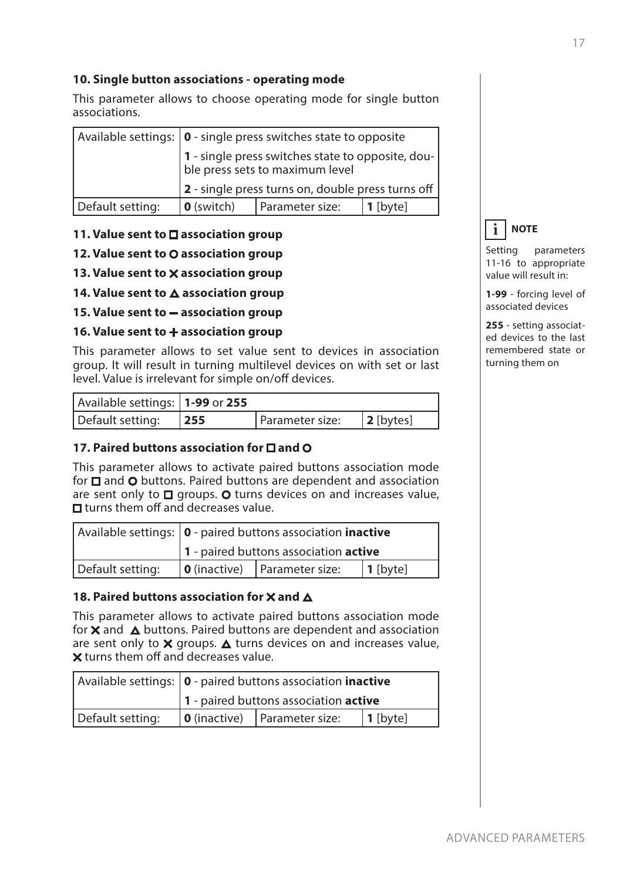## **10. Single button associations - operating mode**

This parameter allows to choose operating mode for single button associations.

|                  | Available settings: $\vert$ 0 - single press switches state to opposite              |                 |            |  |
|------------------|--------------------------------------------------------------------------------------|-----------------|------------|--|
|                  | 1 - single press switches state to opposite, dou-<br>ble press sets to maximum level |                 |            |  |
|                  | 2 - single press turns on, double press turns off                                    |                 |            |  |
| Default setting: | <b>0</b> (switch)                                                                    | Parameter size: | $1$ [byte] |  |

## **11. Value sent to □ association group**

## **12. Value sent to O association group**

- **13. Value sent to X association group**
- 14. Value sent to  $\triangle$  association group
- **15. Value sent to association group**

### **16. Value sent to + association group**

This parameter allows to set value sent to devices in association group. It will result in turning multilevel devices on with set or last level. Value is irrelevant for simple on/off devices.

| Available settings:   1-99 or 255 |                 |                   |
|-----------------------------------|-----------------|-------------------|
| Default setting: $ 255 $          | Parameter size: | $\vert$ 2 [bytes] |

## **17. Paired buttons association for**  $\Box$  **and O**

This parameter allows to activate paired buttons association mode for  $\square$  and  $\lozenge$  buttons. Paired buttons are dependent and association are sent only to  $\square$  groups.  $\bigcirc$  turns devices on and increases value,  $\Box$  turns them off and decreases value.

|                  | Available settings:   0 - paired buttons association inactive |                                      |             |
|------------------|---------------------------------------------------------------|--------------------------------------|-------------|
|                  | 1 - paired buttons association active                         |                                      |             |
| Default setting: |                                                               | $\vert$ 0 (inactive) Parameter size: | $ 1$ [byte] |

## 18. Paired buttons association for X and  $\Delta$

This parameter allows to activate paired buttons association mode for  $\times$  and  $\Delta$  buttons. Paired buttons are dependent and association are sent only to  $\times$  groups.  $\triangle$  turns devices on and increases value,  $\times$  turns them off and decreases value.

|                  | Available settings:   0 - paired buttons association inactive |                                        |                  |
|------------------|---------------------------------------------------------------|----------------------------------------|------------------|
|                  | 1 - paired buttons association active                         |                                        |                  |
| Default setting: |                                                               | $\vert$ 0 (inactive)   Parameter size: | $\vert$ 1 [byte] |

**NOTE i**

Setting parameters 11-16 to appropriate value will result in:

**1-99** - forcing level of associated devices

**255** - setting associated devices to the last remembered state or turning them on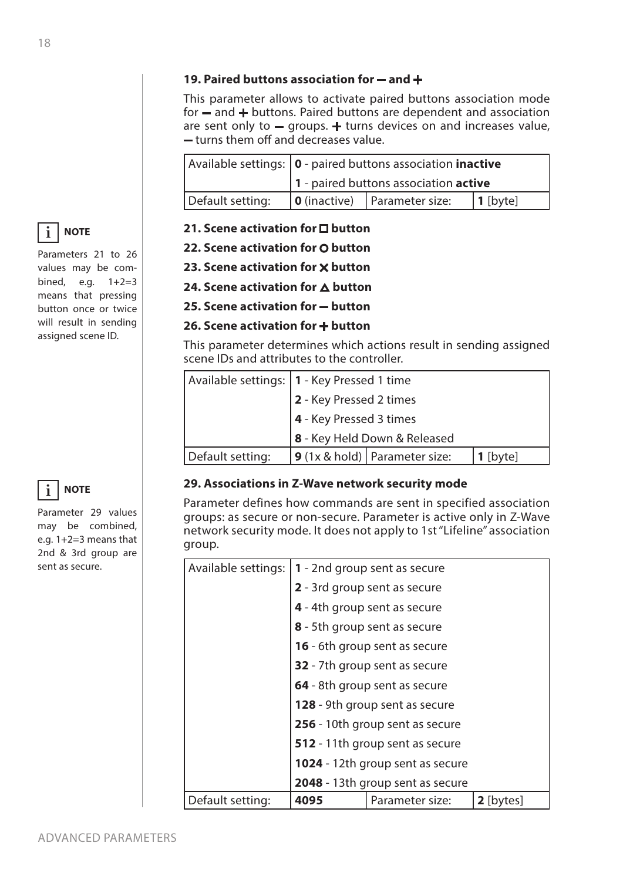## 19. Paired buttons association for - and +

This parameter allows to activate paired buttons association mode for  $-$  and  $+$  buttons. Paired buttons are dependent and association are sent only to  $-$  groups.  $+$  turns devices on and increases value,  $-$  turns them off and decreases value.

|                  | Available settings:   0 - paired buttons association inactive |                                        |          |
|------------------|---------------------------------------------------------------|----------------------------------------|----------|
|                  | 1 - paired buttons association active                         |                                        |          |
| Default setting: |                                                               | $\vert$ 0 (inactive)   Parameter size: | 1 [byte] |

## **21. Scene activation for □ button**

- **22. Scene activation for O button**
- **23. Scene activation for X button**
- **24. Scene activation for A button**
- **25. Scene activation for button**

## **26. Scene activation for + button**

This parameter determines which actions result in sending assigned scene IDs and attributes to the controller.

|                  | Available settings:   1 - Key Pressed 1 time |                                   |            |
|------------------|----------------------------------------------|-----------------------------------|------------|
|                  | 2 - Key Pressed 2 times                      |                                   |            |
|                  | 4 - Key Pressed 3 times                      |                                   |            |
|                  | 8 - Key Held Down & Released                 |                                   |            |
| Default setting: |                                              | $9$ (1x & hold)   Parameter size: | $1$ [byte] |

## **29. Associations in Z-Wave network security mode**

Parameter defines how commands are sent in specified association groups: as secure or non-secure. Parameter is active only in Z-Wave network security mode. It does not apply to 1st "Lifeline" association group.

| Available settings: | 1 - 2nd group sent as secure<br>2 - 3rd group sent as secure                                                                                                                                                  |                              |           |
|---------------------|---------------------------------------------------------------------------------------------------------------------------------------------------------------------------------------------------------------|------------------------------|-----------|
|                     |                                                                                                                                                                                                               |                              |           |
|                     |                                                                                                                                                                                                               | 4 - 4th group sent as secure |           |
|                     | 8 - 5th group sent as secure<br>16 - 6th group sent as secure                                                                                                                                                 |                              |           |
|                     |                                                                                                                                                                                                               |                              |           |
|                     | <b>32</b> - 7th group sent as secure                                                                                                                                                                          |                              |           |
|                     | 64 - 8th group sent as secure<br>128 - 9th group sent as secure<br>256 - 10th group sent as secure<br>512 - 11th group sent as secure<br>1024 - 12th group sent as secure<br>2048 - 13th group sent as secure |                              |           |
|                     |                                                                                                                                                                                                               |                              |           |
|                     |                                                                                                                                                                                                               |                              |           |
|                     |                                                                                                                                                                                                               |                              |           |
|                     |                                                                                                                                                                                                               |                              |           |
|                     |                                                                                                                                                                                                               |                              |           |
| Default setting:    | 4095                                                                                                                                                                                                          | Parameter size:              | 2 [bytes] |



Parameters 21 to 26 values may be combined, e.g. 1+2=3 means that pressing button once or twice will result in sending assigned scene ID.



Parameter 29 values may be combined, e.g. 1+2=3 means that 2nd & 3rd group are sent as secure.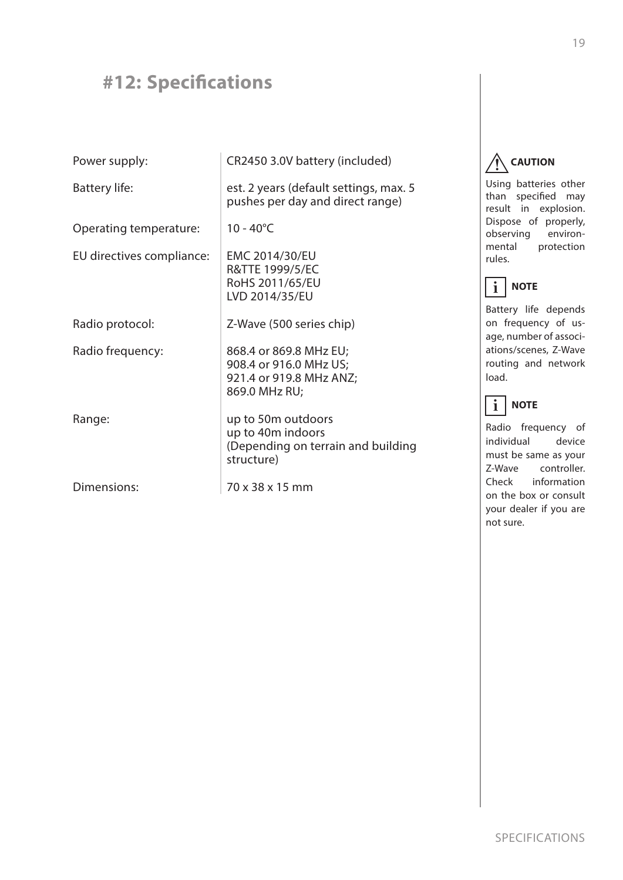## **#12: Specifcations**

| Power supply:             | CR2450 3.0V battery (included)                                                               |
|---------------------------|----------------------------------------------------------------------------------------------|
| Battery life:             | est. 2 years (default settings, max. 5<br>pushes per day and direct range)                   |
| Operating temperature:    | $10 - 40^{\circ}$ C                                                                          |
| EU directives compliance: | EMC 2014/30/EU<br>R&TTE 1999/5/EC<br>RoHS 2011/65/EU<br>LVD 2014/35/EU                       |
| Radio protocol:           | Z-Wave (500 series chip)                                                                     |
| Radio frequency:          | 868.4 or 869.8 MHz EU;<br>908.4 or 916.0 MHz US;<br>921.4 or 919.8 MHz ANZ;<br>869.0 MHz RU; |
| Range:                    | up to 50m outdoors<br>up to 40m indoors<br>(Depending on terrain and building<br>structure)  |
| Dimensions:               | 70 x 38 x 15 mm                                                                              |

**CAUTION !**

Using batteries other than specifed may result in explosion. Dispose of properly, observing environmental protection rules.

#### **NOTE i**

Battery life depends on frequency of usage, number of associations/scenes, Z-Wave routing and network load.

#### **NOTE i**

Radio frequency of individual device must be same as your Z-Wave controller. Check information on the box or consult your dealer if you are not sure.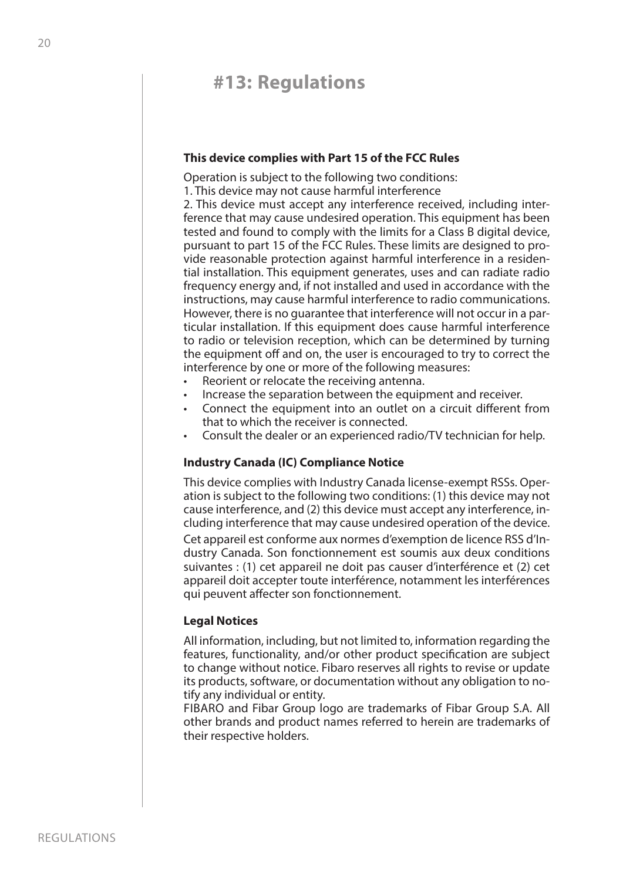## **#13: Regulations**

### **This device complies with Part 15 of the FCC Rules**

Operation is subject to the following two conditions:

1. This device may not cause harmful interference

2. This device must accept any interference received, including interference that may cause undesired operation. This equipment has been tested and found to comply with the limits for a Class B digital device, pursuant to part 15 of the FCC Rules. These limits are designed to provide reasonable protection against harmful interference in a residential installation. This equipment generates, uses and can radiate radio frequency energy and, if not installed and used in accordance with the instructions, may cause harmful interference to radio communications. However, there is no guarantee that interference will not occur in a particular installation. If this equipment does cause harmful interference to radio or television reception, which can be determined by turning the equipment off and on, the user is encouraged to try to correct the interference by one or more of the following measures:

- Reorient or relocate the receiving antenna.
- Increase the separation between the equipment and receiver.
- Connect the equipment into an outlet on a circuit diferent from that to which the receiver is connected.
- Consult the dealer or an experienced radio/TV technician for help.

## **Industry Canada (IC) Compliance Notice**

This device complies with Industry Canada license-exempt RSSs. Operation is subject to the following two conditions: (1) this device may not cause interference, and (2) this device must accept any interference, including interference that may cause undesired operation of the device.

Cet appareil est conforme aux normes d'exemption de licence RSS d'Industry Canada. Son fonctionnement est soumis aux deux conditions suivantes : (1) cet appareil ne doit pas causer d'interférence et (2) cet appareil doit accepter toute interférence, notamment les interférences qui peuvent afecter son fonctionnement.

## **Legal Notices**

All information, including, but not limited to, information regarding the features, functionality, and/or other product specifcation are subject to change without notice. Fibaro reserves all rights to revise or update its products, software, or documentation without any obligation to notify any individual or entity.

FIBARO and Fibar Group logo are trademarks of Fibar Group S.A. All other brands and product names referred to herein are trademarks of their respective holders.